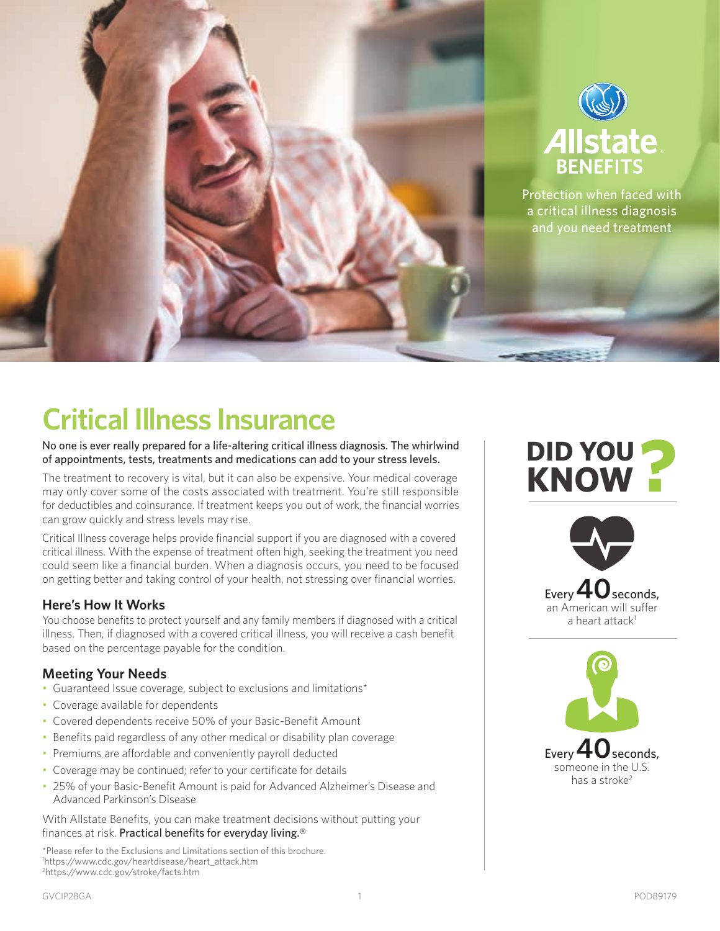

# **Critical Illness Insurance**

No one is ever really prepared for a life-altering critical illness diagnosis. The whirlwind of appointments, tests, treatments and medications can add to your stress levels.

The treatment to recovery is vital, but it can also be expensive. Your medical coverage may only cover some of the costs associated with treatment. You're still responsible for deductibles and coinsurance. If treatment keeps you out of work, the financial worries can grow quickly and stress levels may rise.

Critical Illness coverage helps provide financial support if you are diagnosed with a covered critical illness. With the expense of treatment often high, seeking the treatment you need could seem like a financial burden. When a diagnosis occurs, you need to be focused on getting better and taking control of your health, not stressing over financial worries.

#### **Here's How It Works**

You choose benefits to protect yourself and any family members if diagnosed with a critical illness. Then, if diagnosed with a covered critical illness, you will receive a cash benefit based on the percentage payable for the condition.

### **Meeting Your Needs**

- Guaranteed Issue coverage, subject to exclusions and limitations\*
- Coverage available for dependents
- Covered dependents receive 50% of your Basic-Benefit Amount
- Benefits paid regardless of any other medical or disability plan coverage
- Premiums are affordable and conveniently payroll deducted
- Coverage may be continued; refer to your certificate for details
- 25% of your Basic-Benefit Amount is paid for Advanced Alzheimer's Disease and Advanced Parkinson's Disease

With Allstate Benefits, you can make treatment decisions without putting your finances at risk. Practical benefits for everyday living.®

\*Please refer to the Exclusions and Limitations section of this brochure. 1 https://www.cdc.gov/heartdisease/heart\_attack.htm 2 https://www.cdc.gov/stroke/facts.htm

## **DID YOU KNOW**





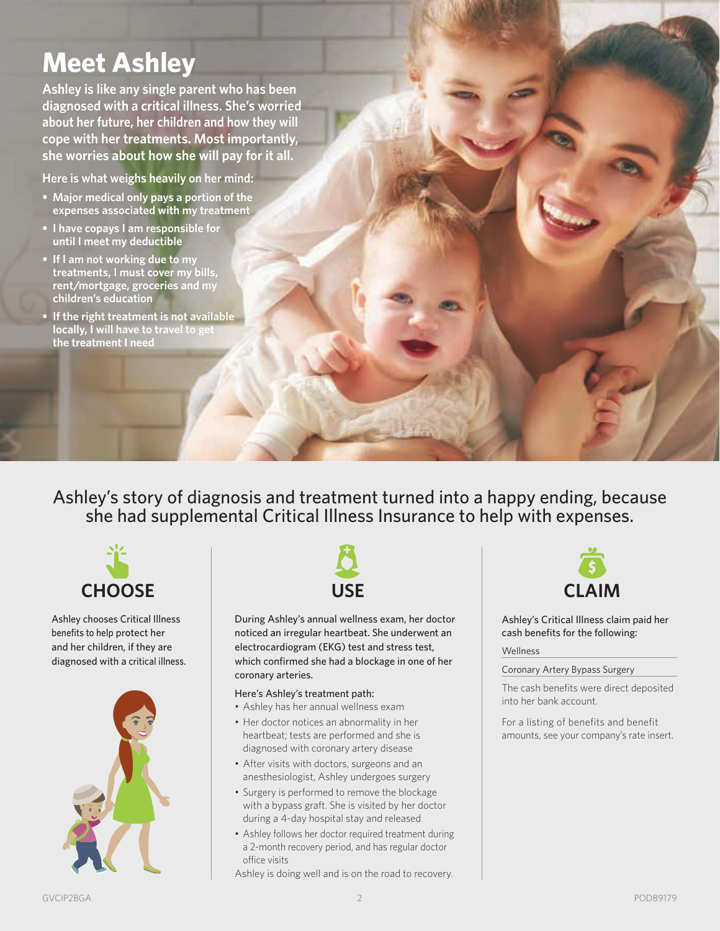## **Meet Ashley**

**Ashley is like any single parent who has been diagnosed with a critical illness. She's worried about her future, her children and how they will cope with her treatments. Most importantly, she worries about how she will pay for it all.**

**Here is what weighs heavily on her mind:**

- **Major medical only pays a portion of the expenses associated with my treatment**
- **• I have copays I am responsible for until I meet my deductible**
- **• If I am not working due to my treatments, I must cover my bills, rent/mortgage, groceries and my children's education**
- **• If the right treatment is not available locally, I will have to travel to get the treatment I need**

Ashley's story of diagnosis and treatment turned into a happy ending, because she had supplemental Critical Illness Insurance to help with expenses.



Ashley chooses Critical Illness benefits to help protect her and her children, if they are diagnosed with a critical illness.





During Ashley's annual wellness exam, her doctor noticed an irregular heartbeat. She underwent an electrocardiogram (EKG) test and stress test, which confirmed she had a blockage in one of her coronary arteries.

#### Here's Ashley's treatment path:

- Ashley has her annual wellness exam
- Her doctor notices an abnormality in her heartbeat; tests are performed and she is diagnosed with coronary artery disease
- After visits with doctors, surgeons and an anesthesiologist, Ashley undergoes surgery
- Surgery is performed to remove the blockage with a bypass graft. She is visited by her doctor during a 4-day hospital stay and released
- Ashley follows her doctor required treatment during a 2-month recovery period, and has regular doctor office visits

Ashley is doing well and is on the road to recovery.



Ashley's Critical Illness claim paid her cash benefits for the following:

#### Wellness

#### Coronary Artery Bypass Surgery

The cash benefits were direct deposited into her bank account.

For a listing of benefits and benefit amounts, see your company's rate insert.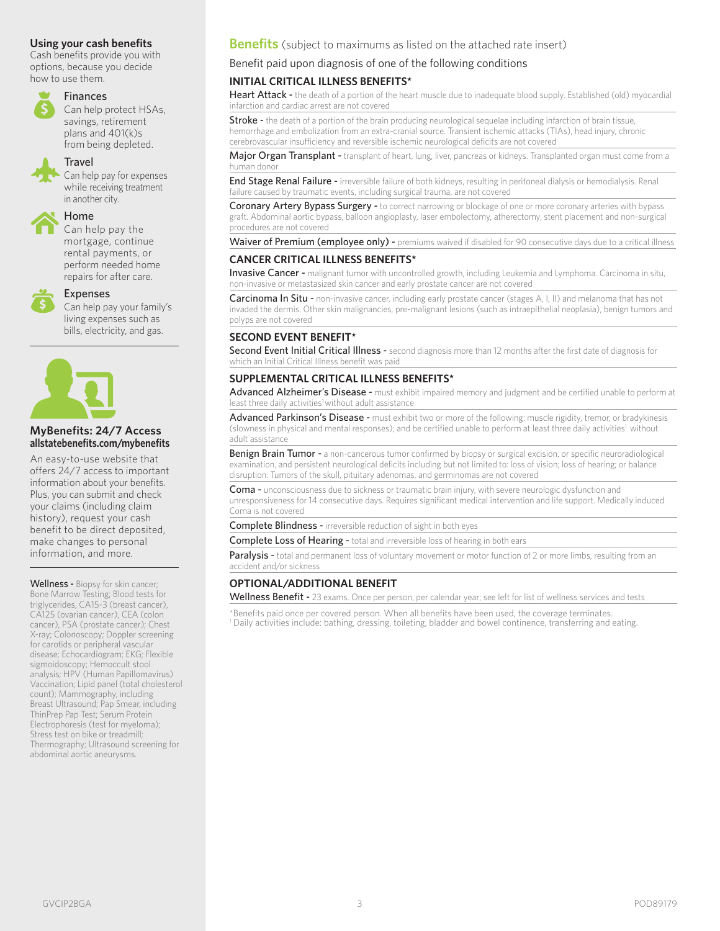#### **Using your cash benefits**

Cash benefits provide you with options, because you decide how to use them.



#### Finances

Can help protect HSAs, savings, retirement plans and 401(k)s from being depleted.

#### **Travel**

Can help pay for expenses while receiving treatment in another city.

### Home

Can help pay the mortgage, continue rental payments, or perform needed home repairs for after care.



#### Expenses

Can help pay your family's living expenses such as bills, electricity, and gas.



#### **MyBenefits: 24/7 Access allstatebenefits.com/mybenefits**

An easy-to-use website that offers 24/7 access to important information about your benefits. Plus, you can submit and check your claims (including claim history), request your cash benefit to be direct deposited, make changes to personal information, and more.

Wellness - Biopsy for skin cancer; Bone Marrow Testing; Blood tests for triglycerides, CA15-3 (breast cancer), CA125 (ovarian cancer), CEA (colon cancer), PSA (prostate cancer); Chest X-ray; Colonoscopy; Doppler screening for carotids or peripheral vascular disease; Echocardiogram; EKG; Flexible sigmoidoscopy; Hemoccult stool analysis; HPV (Human Papillomavirus) Vaccination; Lipid panel (total cholesterol count); Mammography, including Breast Ultrasound; Pap Smear, including ThinPrep Pap Test; Serum Protein Electrophoresis (test for myeloma); Stress test on bike or treadmill; Thermography; Ultrasound screening for abdominal aortic aneurysms.

#### **Benefits** (subject to maximums as listed on the attached rate insert)

#### Benefit paid upon diagnosis of one of the following conditions

#### **INITIAL CRITICAL ILLNESS BENEFITS\***

Heart Attack - the death of a portion of the heart muscle due to inadequate blood supply. Established (old) myocardial infarction and cardiac arrest are not covered

Stroke - the death of a portion of the brain producing neurological sequelae including infarction of brain tissue, hemorrhage and embolization from an extra-cranial source. Transient ischemic attacks (TIAs), head injury, chronic cerebrovascular insufficiency and reversible ischemic neurological deficits are not covered

Major Organ Transplant - transplant of heart, lung, liver, pancreas or kidneys. Transplanted organ must come from a human donor

End Stage Renal Failure - irreversible failure of both kidneys, resulting in peritoneal dialysis or hemodialysis. Renal failure caused by traumatic events, including surgical trauma, are not covered

Coronary Artery Bypass Surgery - to correct narrowing or blockage of one or more coronary arteries with bypass graft. Abdominal aortic bypass, balloon angioplasty, laser embolectomy, atherectomy, stent placement and non-surgical procedures are not covered

Waiver of Premium (employee only) - premiums waived if disabled for 90 consecutive days due to a critical illness

#### **CANCER CRITICAL ILLNESS BENEFITS\***

Invasive Cancer - malignant tumor with uncontrolled growth, including Leukemia and Lymphoma. Carcinoma in situ, non-invasive or metastasized skin cancer and early prostate cancer are not covered

Carcinoma In Situ - non-invasive cancer, including early prostate cancer (stages A, I, II) and melanoma that has not invaded the dermis. Other skin malignancies, pre-malignant lesions (such as intraepithelial neoplasia), benign tumors and polyps are not covered

#### **SECOND EVENT BENEFIT\***

Second Event Initial Critical Illness - second diagnosis more than 12 months after the first date of diagnosis for which an Initial Critical Illness benefit was paid

#### **SUPPLEMENTAL CRITICAL ILLNESS BENEFITS\***

Advanced Alzheimer's Disease - must exhibit impaired memory and judgment and be certified unable to perform at least three daily activities<sup>1</sup> without adult assistance

Advanced Parkinson's Disease - must exhibit two or more of the following: muscle rigidity, tremor, or bradykinesis (slowness in physical and mental responses); and be certified unable to perform at least three daily activities<sup>1</sup> without adult assistance

Benign Brain Tumor - a non-cancerous tumor confirmed by biopsy or surgical excision, or specific neuroradiological examination, and persistent neurological deficits including but not limited to: loss of vision; loss of hearing; or balance disruption. Tumors of the skull, pituitary adenomas, and germinomas are not covered

Coma - unconsciousness due to sickness or traumatic brain injury, with severe neurologic dysfunction and unresponsiveness for 14 consecutive days. Requires significant medical intervention and life support. Medically induced Coma is not covered

Complete Blindness - irreversible reduction of sight in both eyes

Complete Loss of Hearing - total and irreversible loss of hearing in both ears

Paralysis - total and permanent loss of voluntary movement or motor function of 2 or more limbs, resulting from an accident and/or sickness

#### **OPTIONAL/ADDITIONAL BENEFIT**

Wellness Benefit - 23 exams. Once per person, per calendar year; see left for list of wellness services and tests

\*Benefits paid once per covered person. When all benefits have been used, the coverage terminates. 1 Daily activities include: bathing, dressing, toileting, bladder and bowel continence, transferring and eating.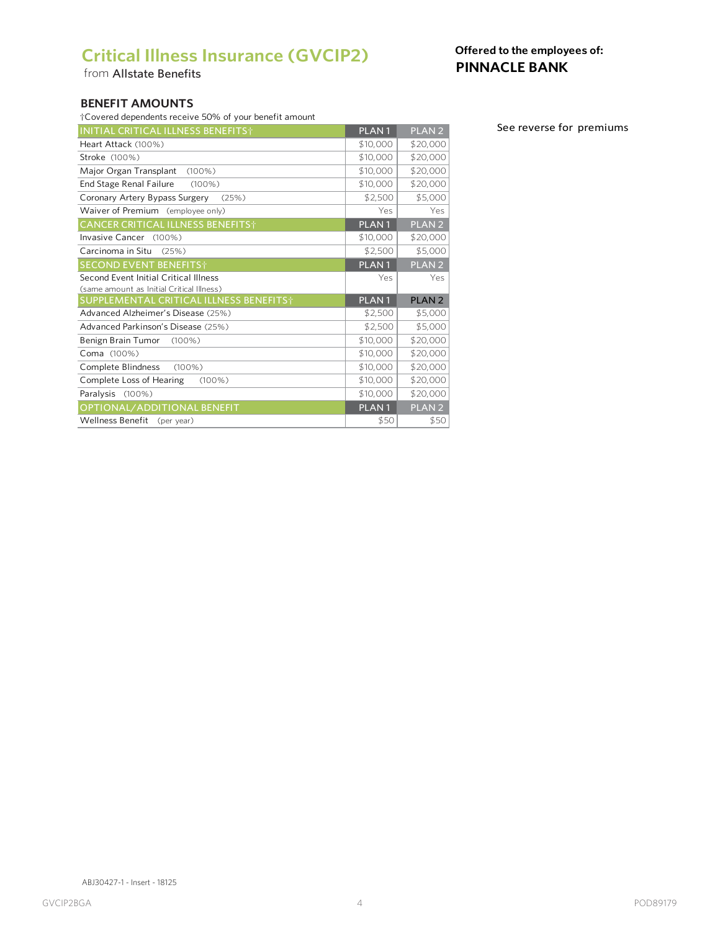### **Critical Illness Insurance (GVCIP2)**

from Allstate Benefits

### **Offered to the employees of: PINNACLE BANK**

#### **BENEFIT AMOUNTS**

| <b>INITIAL CRITICAL ILLNESS BENEFITS</b> † | PLAN <sub>1</sub> | PLAN <sub>2</sub> |
|--------------------------------------------|-------------------|-------------------|
| Heart Attack (100%)                        | \$10,000          | \$20,000          |
| Stroke (100%)                              | \$10,000          | \$20,000          |
| Major Organ Transplant<br>$(100\%)$        | \$10,000          | \$20,000          |
| End Stage Renal Failure<br>$(100\%)$       | \$10,000          | \$20,000          |
| Coronary Artery Bypass Surgery<br>(25%)    | \$2,500           | \$5,000           |
| Waiver of Premium (employee only)          | Yes               | Yes               |
| <b>CANCER CRITICAL ILLNESS BENEFITS</b> †  | PLAN <sub>1</sub> | PLAN <sub>2</sub> |
| Invasive Cancer (100%)                     | \$10,000          | \$20,000          |
| Carcinoma in Situ<br>(25%)                 | \$2,500           | \$5,000           |
| <b>SECOND EVENT BENEFITS</b> †             | PLAN <sub>1</sub> | PLAN <sub>2</sub> |
| Second Event Initial Critical Illness      | Yes               | Yes               |
| (same amount as Initial Critical Illness)  |                   |                   |
| SUPPLEMENTAL CRITICAL ILLNESS BENEFITS+    | PLAN <sub>1</sub> | <b>PLAN2</b>      |
| Advanced Alzheimer's Disease (25%)         | \$2,500           | \$5,000           |
| Advanced Parkinson's Disease (25%)         | \$2,500           | \$5,000           |
| Benign Brain Tumor<br>$(100\%)$            | \$10,000          | \$20,000          |
| Coma (100%)                                | \$10,000          | \$20,000          |
| Complete Blindness<br>$(100\%)$            | \$10,000          | \$20,000          |
| Complete Loss of Hearing<br>$(100\%)$      | \$10,000          | \$20,000          |
| Paralysis (100%)                           | \$10,000          | \$20,000          |
| OPTIONAL/ADDITIONAL BENEFIT                | PLAN <sub>1</sub> | PLAN <sub>2</sub> |
| Wellness Benefit<br>(per year)             | \$50              | \$50              |

See reverse for premiums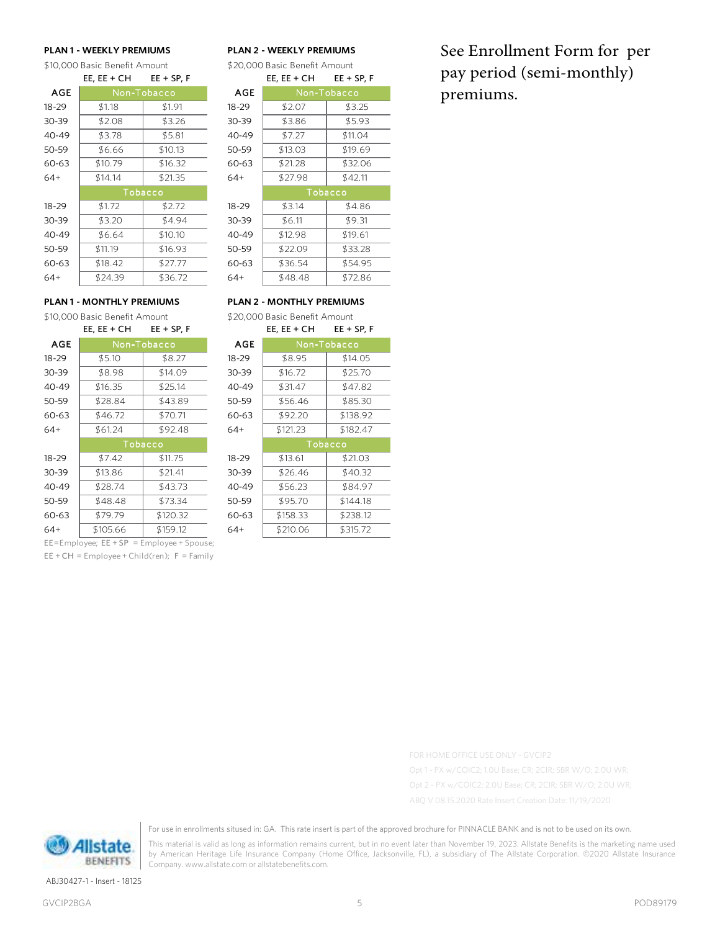\$10,000 Basic Benefit Amount \$20,000 Basic Benefit Amount

|            | EE, EE + CH | EE + SP, F |            | EE, EE + CH | <b>EE + SP, F</b> |
|------------|-------------|------------|------------|-------------|-------------------|
| <b>AGE</b> | Non-Tobacco |            | <b>AGE</b> | Non-Tobacco |                   |
| $18 - 29$  | \$1.18      | \$1.91     | $18 - 29$  | \$2.07      | \$3.25            |
| 30-39      | \$2.08      | \$3.26     | 30-39      | \$3.86      | \$5.93            |
| 40-49      | \$3.78      | \$5.81     | 40-49      | \$7.27      | \$11.04           |
| 50-59      | \$6.66      | \$10.13    | 50-59      | \$13.03     | \$19.69           |
| 60-63      | \$10.79     | \$16.32    | 60-63      | \$21.28     | \$32.06           |
| $64+$      | \$14.14     | \$21.35    | $64+$      | \$27.98     | \$42.11           |
|            | Tobacco     |            |            | Tobacco     |                   |
| $18 - 29$  | \$1.72      | \$2.72     | 18-29      | \$3.14      | \$4.86            |
| $30 - 39$  | \$3.20      | \$4.94     | 30-39      | \$6.11      | \$9.31            |
| 40-49      | \$6.64      | \$10.10    | 40-49      | \$12.98     | \$19.61           |
| 50-59      | \$11.19     | \$16.93    | 50-59      | \$22.09     | \$33.28           |
| 60-63      | \$18.42     | \$27.77    | 60-63      | \$36.54     | \$54.95           |
| $64+$      | \$24.39     | \$36.72    | $64+$      | \$48.48     | \$72.86           |
|            |             |            |            |             |                   |

#### **PLAN 1 - WEEKLY PREMIUMS PLAN 2 - WEEKLY PREMIUMS**

| $EE$ , $EE + CH$ $EE + SP$ , F | EE, $EE + CH$ $EE + SP$ , F |  |
|--------------------------------|-----------------------------|--|
|                                |                             |  |

| n-Tobacco |         | <b>AGE</b> | Non-Tobacco |         |
|-----------|---------|------------|-------------|---------|
|           | \$1.91  | $18 - 29$  | \$2.07      | \$3.25  |
|           | \$3.26  | 30-39      | \$3.86      | \$5.93  |
|           | \$5.81  | 40-49      | \$7.27      | \$11.04 |
|           | \$10.13 | 50-59      | \$13.03     | \$19.69 |
|           | \$16.32 | 60-63      | \$21.28     | \$32.06 |
|           | \$21.35 | $64+$      | \$27.98     | \$42.11 |
|           |         |            | Tobacco     |         |
|           | Tobacco |            |             |         |
|           | \$2.72  | $18 - 29$  | \$3.14      | \$4.86  |
|           | \$4.94  | 30-39      | \$6.11      | \$9.31  |
|           | \$10.10 | 40-49      | \$12.98     | \$19.61 |
|           | \$16.93 | 50-59      | \$22.09     | \$33.28 |
|           | \$27.77 | 60-63      | \$36.54     | \$54.95 |
|           | \$36.72 | 64+        | \$48.48     | \$72.86 |

#### **PLAN 1 - MONTHLY PREMIUMS PLAN 2 - MONTHLY PREMIUMS**

|            | EE, $EE + CH$ | $EE + SP, F$ |           | EE, $EE + CH$ | $EE + SP, F$ |
|------------|---------------|--------------|-----------|---------------|--------------|
| <b>AGE</b> | Non-Tobacco   |              | AGE       | Non-Tobacco   |              |
| $18 - 29$  | \$5.10        | \$8.27       | $18 - 29$ | \$8.95        | \$14.05      |
| $30 - 39$  | \$8.98        | \$14.09      | 30-39     | \$16.72       | \$25.70      |
| 40-49      | \$16.35       | \$25.14      | 40-49     | \$31.47       | \$47.82      |
| 50-59      | \$28.84       | \$43.89      | 50-59     | \$56.46       | \$85.30      |
| 60-63      | \$46.72       | \$70.71      | 60-63     | \$92.20       | \$138.92     |
| $64+$      | \$61.24       | \$92.48      | $64+$     | \$121.23      | \$182.47     |
|            | Tobacco       |              |           | Tobacco       |              |
| $18 - 29$  | \$7.42        | \$11.75      | $18 - 29$ | \$13.61       | \$21.03      |
| $30 - 39$  | \$13.86       | \$21.41      | 30-39     | \$26.46       | \$40.32      |
| 40-49      | \$28.74       | \$43.73      | 40-49     | \$56.23       | \$84.97      |
| 50-59      | \$48.48       | \$73.34      | 50-59     | \$95.70       | \$144.18     |
| 60-63      | \$79.79       | \$120.32     | 60-63     | \$158.33      | \$238.12     |
| $64+$      | \$105.66      | \$159.12     | 64+       | \$210.06      | \$315.72     |
|            |               |              |           |               |              |

EE=Employee; EE + SP = Employee + Spouse;  $EE + CH = Employee + Child(ren); F = Family$ 

\$10,000 Basic Benefit Amount \$20,000 Basic Benefit Amount

| н                    | $EE + SP, F$ |            | EE, $EE + CH$ | $EE + SP, F$ |
|----------------------|--------------|------------|---------------|--------------|
| <sub>n-Tobacco</sub> |              | <b>AGE</b> | Non-Tobacco   |              |
|                      | \$8.27       | $18 - 29$  | \$8.95        | \$14.05      |
|                      | \$14.09      | 30-39      | \$16.72       | \$25.70      |
|                      | \$25.14      | 40-49      | \$31.47       | \$47.82      |
|                      | \$43.89      | 50-59      | \$56.46       | \$85.30      |
|                      | \$70.71      | 60-63      | \$92.20       | \$138.92     |
|                      | \$92.48      | $64+$      | \$121.23      | \$182.47     |
|                      | Tobacco      |            | Tobacco       |              |
|                      | \$11.75      | $18 - 29$  | \$13.61       | \$21.03      |
|                      | \$21.41      | 30-39      | \$26.46       | \$40.32      |
|                      | \$43.73      | 40-49      | \$56.23       | \$84.97      |
| ζ                    | \$73.34      | 50-59      | \$95.70       | \$144.18     |
|                      | \$120.32     | 60-63      | \$158.33      | \$238.12     |
|                      | \$159.12     | 64+        | \$210.06      | \$315.72     |
|                      |              |            |               |              |

See Enrollment Form for per pay period (semi-monthly) premiums.

For use in enrollments sitused in: GA. This rate insert is part of the approved brochure for PINNACLE BANK and is not to be used on its own.

This material is valid as long as information remains current, but in no event later than November 19, 2023. Allstate Benefits is the marketing name used by American Heritage Life Insurance Company (Home Office, Jacksonville, FL), a subsidiary of The Allstate Corporation. ©2020 Allstate Insurance Company. www.allstate.com or allstatebenefits.com.

Alistate. BENEFITS

ABJ30427-1 - Insert - 18125